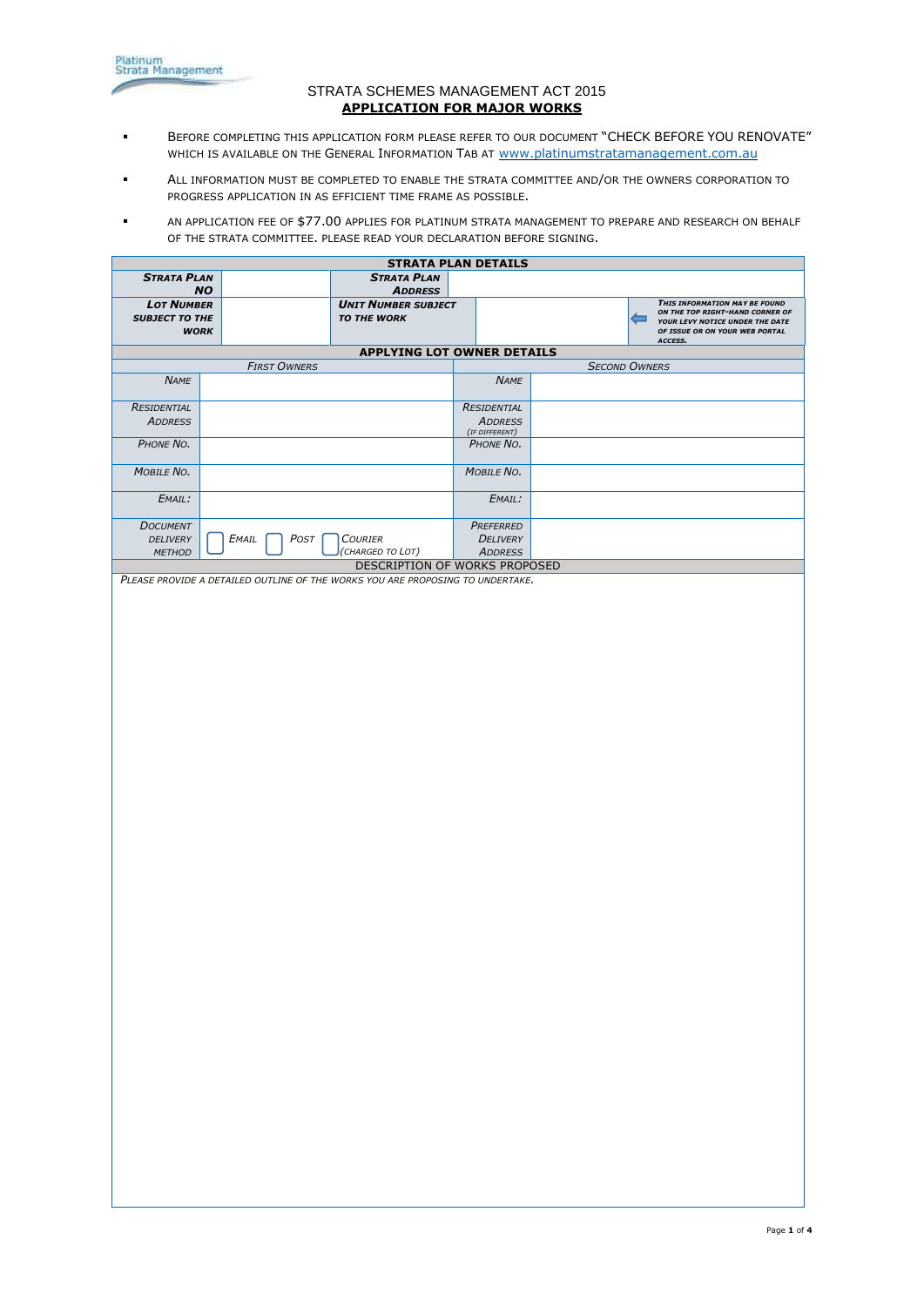

## STRATA SCHEMES MANAGEMENT ACT 2015 **APPLICATION FOR MAJOR WORKS**

- **BEFORE COMPLETING THIS APPLICATION FORM PLEASE REFER TO OUR DOCUMENT "CHECK BEFORE YOU RENOVATE"** WHICH IS AVAILABLE ON THE GENERAL INFORMATION TAB AT [www.platinumstratamanagement.com.au](http://www.platinumstratamanagement.com.au/)
- ALL INFORMATION MUST BE COMPLETED TO ENABLE THE STRATA COMMITTEE AND/OR THE OWNERS CORPORATION TO PROGRESS APPLICATION IN AS EFFICIENT TIME FRAME AS POSSIBLE.
- AN APPLICATION FEE OF \$77.00 APPLIES FOR PLATINUM STRATA MANAGEMENT TO PREPARE AND RESEARCH ON BEHALF OF THE STRATA COMMITTEE. PLEASE READ YOUR DECLARATION BEFORE SIGNING.

| <b>STRATA PLAN DETAILS</b>                 |                                                                                |                                                  |                             |  |                                                                   |  |  |
|--------------------------------------------|--------------------------------------------------------------------------------|--------------------------------------------------|-----------------------------|--|-------------------------------------------------------------------|--|--|
| <b>STRATA PLAN</b>                         |                                                                                | <b>STRATA PLAN</b>                               |                             |  |                                                                   |  |  |
|                                            | <b>NO</b>                                                                      | <b>ADDRESS</b>                                   |                             |  | THIS INFORMATION MAY BE FOUND                                     |  |  |
| <b>LOT NUMBER</b><br><b>SUBJECT TO THE</b> |                                                                                | <b>UNIT NUMBER SUBJECT</b><br><b>TO THE WORK</b> |                             |  | ON THE TOP RIGHT-HAND CORNER OF<br>۰                              |  |  |
| <b>WORK</b>                                |                                                                                |                                                  |                             |  | YOUR LEVY NOTICE UNDER THE DATE<br>OF ISSUE OR ON YOUR WEB PORTAL |  |  |
|                                            |                                                                                |                                                  |                             |  | ACCESS.                                                           |  |  |
|                                            | <b>FIRST OWNERS</b>                                                            | <b>APPLYING LOT OWNER DETAILS</b>                |                             |  | <b>SECOND OWNERS</b>                                              |  |  |
| <b>NAME</b>                                |                                                                                |                                                  | <b>NAME</b>                 |  |                                                                   |  |  |
|                                            |                                                                                |                                                  |                             |  |                                                                   |  |  |
| RESIDENTIAL                                |                                                                                |                                                  | RESIDENTIAL                 |  |                                                                   |  |  |
| <b>ADDRESS</b>                             |                                                                                |                                                  | <b>ADDRESS</b>              |  |                                                                   |  |  |
| PHONE NO.                                  |                                                                                |                                                  | (IF DIFFERENT)<br>PHONE NO. |  |                                                                   |  |  |
|                                            |                                                                                |                                                  |                             |  |                                                                   |  |  |
| MOBILE NO.                                 |                                                                                |                                                  | MOBILE NO.                  |  |                                                                   |  |  |
| EMAIL:                                     |                                                                                |                                                  | EMAIL:                      |  |                                                                   |  |  |
| <b>DOCUMENT</b>                            |                                                                                |                                                  | PREFERRED                   |  |                                                                   |  |  |
| DELIVERY                                   | $E$ MAIL<br>POST                                                               | <b>COURIER</b>                                   | DELIVERY                    |  |                                                                   |  |  |
| <b>METHOD</b>                              |                                                                                | (CHARGED TO LOT)                                 | <b>ADDRESS</b>              |  |                                                                   |  |  |
|                                            | PLEASE PROVIDE A DETAILED OUTLINE OF THE WORKS YOU ARE PROPOSING TO UNDERTAKE. | DESCRIPTION OF WORKS PROPOSED                    |                             |  |                                                                   |  |  |
|                                            |                                                                                |                                                  |                             |  |                                                                   |  |  |
|                                            |                                                                                |                                                  |                             |  |                                                                   |  |  |
|                                            |                                                                                |                                                  |                             |  |                                                                   |  |  |
|                                            |                                                                                |                                                  |                             |  |                                                                   |  |  |
|                                            |                                                                                |                                                  |                             |  |                                                                   |  |  |
|                                            |                                                                                |                                                  |                             |  |                                                                   |  |  |
|                                            |                                                                                |                                                  |                             |  |                                                                   |  |  |
|                                            |                                                                                |                                                  |                             |  |                                                                   |  |  |
|                                            |                                                                                |                                                  |                             |  |                                                                   |  |  |
|                                            |                                                                                |                                                  |                             |  |                                                                   |  |  |
|                                            |                                                                                |                                                  |                             |  |                                                                   |  |  |
|                                            |                                                                                |                                                  |                             |  |                                                                   |  |  |
|                                            |                                                                                |                                                  |                             |  |                                                                   |  |  |
|                                            |                                                                                |                                                  |                             |  |                                                                   |  |  |
|                                            |                                                                                |                                                  |                             |  |                                                                   |  |  |
|                                            |                                                                                |                                                  |                             |  |                                                                   |  |  |
|                                            |                                                                                |                                                  |                             |  |                                                                   |  |  |
|                                            |                                                                                |                                                  |                             |  |                                                                   |  |  |
|                                            |                                                                                |                                                  |                             |  |                                                                   |  |  |
|                                            |                                                                                |                                                  |                             |  |                                                                   |  |  |
|                                            |                                                                                |                                                  |                             |  |                                                                   |  |  |
|                                            |                                                                                |                                                  |                             |  |                                                                   |  |  |
|                                            |                                                                                |                                                  |                             |  |                                                                   |  |  |
|                                            |                                                                                |                                                  |                             |  |                                                                   |  |  |
|                                            |                                                                                |                                                  |                             |  |                                                                   |  |  |
|                                            |                                                                                |                                                  |                             |  |                                                                   |  |  |
|                                            |                                                                                |                                                  |                             |  |                                                                   |  |  |
|                                            |                                                                                |                                                  |                             |  |                                                                   |  |  |
|                                            |                                                                                |                                                  |                             |  |                                                                   |  |  |
|                                            |                                                                                |                                                  |                             |  |                                                                   |  |  |
|                                            |                                                                                |                                                  |                             |  |                                                                   |  |  |
|                                            |                                                                                |                                                  |                             |  |                                                                   |  |  |
|                                            |                                                                                |                                                  |                             |  |                                                                   |  |  |
|                                            |                                                                                |                                                  |                             |  |                                                                   |  |  |
|                                            |                                                                                |                                                  |                             |  |                                                                   |  |  |
|                                            |                                                                                |                                                  |                             |  |                                                                   |  |  |
|                                            |                                                                                |                                                  |                             |  |                                                                   |  |  |
|                                            |                                                                                |                                                  |                             |  |                                                                   |  |  |
|                                            |                                                                                |                                                  |                             |  |                                                                   |  |  |
|                                            |                                                                                |                                                  |                             |  |                                                                   |  |  |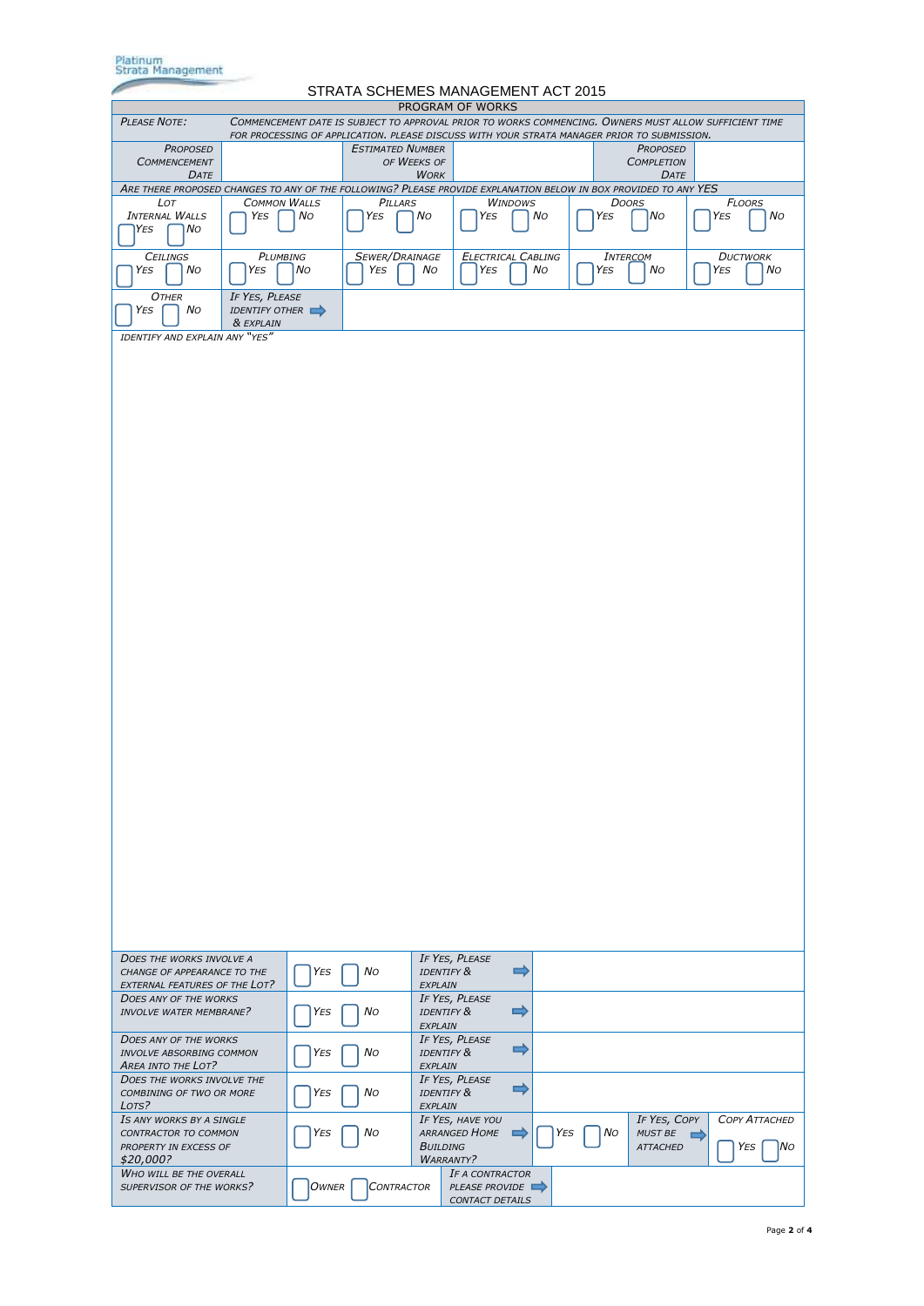| Platinum<br>Strata Management                                                                                                                                                                                               |                                  |       |                         |                 |                                                             |                |     |     |                                                   |                                    |
|-----------------------------------------------------------------------------------------------------------------------------------------------------------------------------------------------------------------------------|----------------------------------|-------|-------------------------|-----------------|-------------------------------------------------------------|----------------|-----|-----|---------------------------------------------------|------------------------------------|
| STRATA SCHEMES MANAGEMENT ACT 2015<br>PROGRAM OF WORKS                                                                                                                                                                      |                                  |       |                         |                 |                                                             |                |     |     |                                                   |                                    |
| <b>PLEASE NOTE:</b><br>COMMENCEMENT DATE IS SUBJECT TO APPROVAL PRIOR TO WORKS COMMENCING. OWNERS MUST ALLOW SUFFICIENT TIME<br>FOR PROCESSING OF APPLICATION. PLEASE DISCUSS WITH YOUR STRATA MANAGER PRIOR TO SUBMISSION. |                                  |       |                         |                 |                                                             |                |     |     |                                                   |                                    |
| <b>PROPOSED</b><br><b>COMMENCEMENT</b>                                                                                                                                                                                      |                                  |       | <b>ESTIMATED NUMBER</b> | OF WEEKS OF     |                                                             |                |     |     | <b>PROPOSED</b><br><b>COMPLETION</b>              |                                    |
| DATE<br>ARE THERE PROPOSED CHANGES TO ANY OF THE FOLLOWING? PLEASE PROVIDE EXPLANATION BELOW IN BOX PROVIDED TO ANY YES                                                                                                     |                                  |       |                         | <b>WORK</b>     |                                                             |                |     |     | DATE                                              |                                    |
| LOT<br><b>INTERNAL WALLS</b>                                                                                                                                                                                                | <b>COMMON WALLS</b>              |       | PILLARS                 |                 |                                                             | <b>WINDOWS</b> |     |     | <b>DOORS</b>                                      | <b>FLOORS</b>                      |
| No<br>YES                                                                                                                                                                                                                   | YES                              | No    | YES                     | No              | YES                                                         |                | No  | YES | No                                                | No<br>YES                          |
| <b>CEILINGS</b><br>YES<br>No                                                                                                                                                                                                | PLUMBING<br>YES                  | l No  | SEWER/DRAINAGE<br>YES   | No              | <b>ELECTRICAL CABLING</b><br>YES                            |                | No  | YES | <b>INTERCOM</b><br>No                             | <b>DUCTWORK</b><br>YES<br>No       |
| <b>OTHER</b><br>YES<br>No                                                                                                                                                                                                   | IF YES, PLEASE<br>IDENTIFY OTHER |       |                         |                 |                                                             |                |     |     |                                                   |                                    |
| IDENTIFY AND EXPLAIN ANY "YES"                                                                                                                                                                                              | & EXPLAIN                        |       |                         |                 |                                                             |                |     |     |                                                   |                                    |
|                                                                                                                                                                                                                             |                                  |       |                         |                 |                                                             |                |     |     |                                                   |                                    |
| <b>DOES THE WORKS INVOLVE A</b><br>CHANGE OF APPEARANCE TO THE                                                                                                                                                              |                                  | YES   | No                      |                 | IF YES, PLEASE<br><b>IDENTIFY &amp;</b>                     | $\Rightarrow$  |     |     |                                                   |                                    |
| EXTERNAL FEATURES OF THE LOT?<br><b>DOES ANY OF THE WORKS</b>                                                                                                                                                               |                                  |       |                         | EXPLAIN         | IF YES, PLEASE                                              | $\Rightarrow$  |     |     |                                                   |                                    |
| <b>INVOLVE WATER MEMBRANE?</b>                                                                                                                                                                                              |                                  | YES   | Νo                      | EXPLAIN         | <b>IDENTIFY &amp;</b>                                       |                |     |     |                                                   |                                    |
| <b>DOES ANY OF THE WORKS</b><br><b>INVOLVE ABSORBING COMMON</b><br>AREA INTO THE LOT?                                                                                                                                       |                                  | YES   | No                      | EXPLAIN         | IF YES, PLEASE<br><b>IDENTIFY &amp;</b>                     | 5              |     |     |                                                   |                                    |
| <b>DOES THE WORKS INVOLVE THE</b><br>COMBINING OF TWO OR MORE<br>LOTS?                                                                                                                                                      |                                  | YES   | No                      | EXPLAIN         | IF YES, PLEASE<br><b>IDENTIFY &amp;</b>                     | ⇨              |     |     |                                                   |                                    |
| IS ANY WORKS BY A SINGLE<br>CONTRACTOR TO COMMON<br>PROPERTY IN EXCESS OF<br>\$20,000?                                                                                                                                      |                                  | YES   | No                      | <b>BUILDING</b> | IF YES, HAVE YOU<br>ARRANGED HOME<br><b>WARRANTY?</b>       | $\Rightarrow$  | YES | No  | IF YES, COPY<br><b>MUST BE</b><br><b>ATTACHED</b> | <b>COPY ATTACHED</b><br> No<br>YES |
| <b>WHO WILL BE THE OVERALL</b><br>SUPERVISOR OF THE WORKS?                                                                                                                                                                  |                                  | OWNER | <b>CONTRACTOR</b>       |                 | IF A CONTRACTOR<br>PLEASE PROVIDE<br><b>CONTACT DETAILS</b> |                |     |     |                                                   |                                    |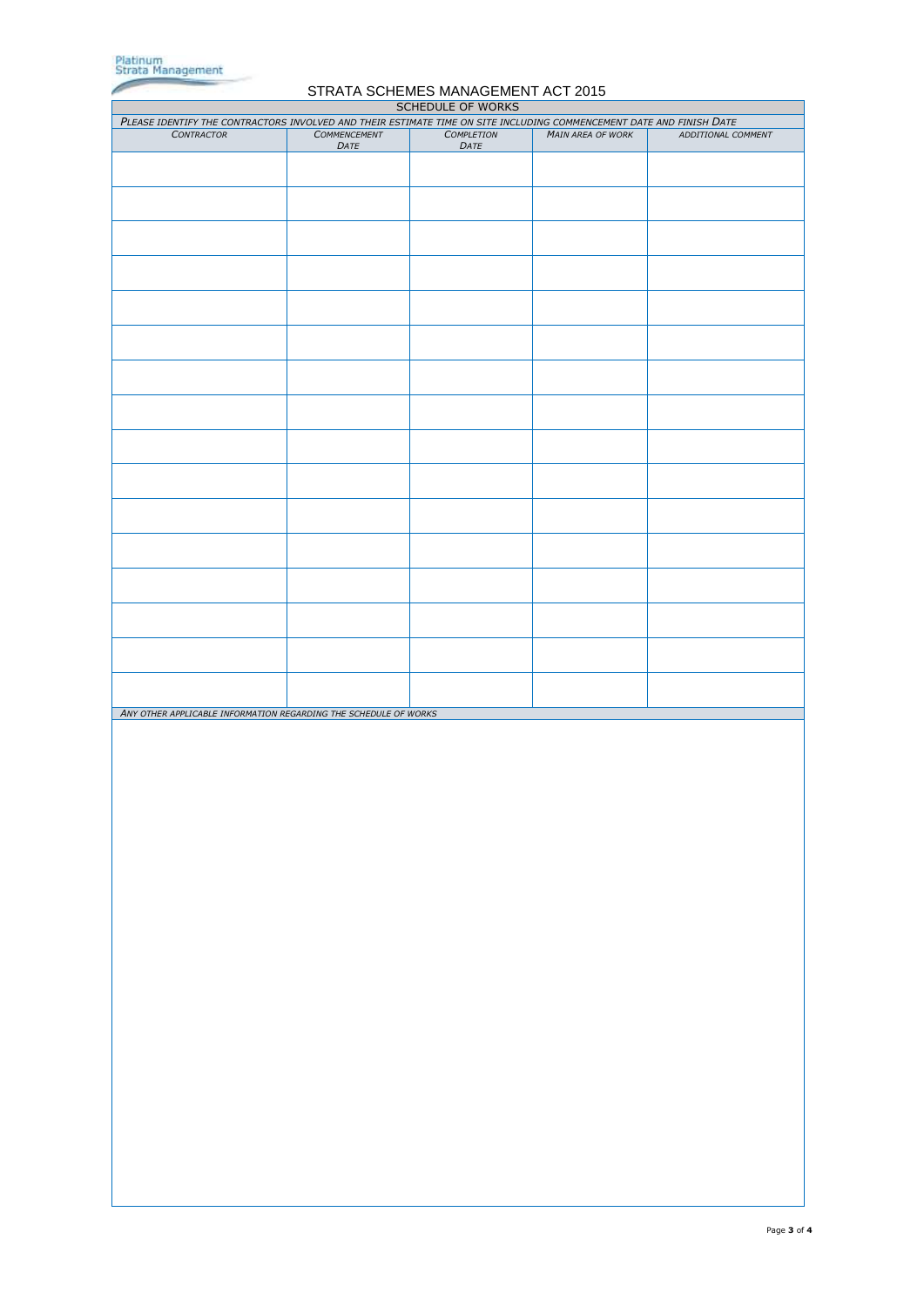

*ANY OTHER APPLICABLE INFORMATION REGARDING THE SCHEDULE OF WORKS*

## STRATA SCHEMES MANAGEMENT ACT 2015 SCHEDULE OF WORKS *PLEASE IDENTIFY THE CONTRACTORS INVOLVED AND THEIR ESTIMATE TIME ON SITE INCLUDING COMMENCEMENT DATE AND FINISH DATE CONTRACTOR COMMENCEMENT DATE COMPLETION DATE MAIN AREA OF WORK ADDITIONAL COMMENT*